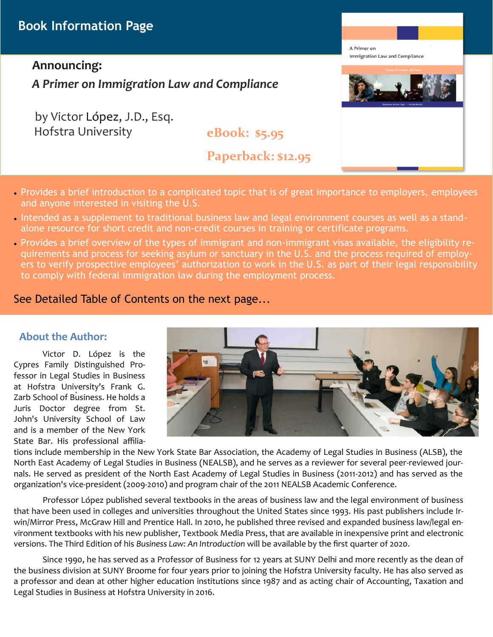# **Announcing:**

*A Primer on Immigration Law and Compliance*

by Victor López, J.D., Esq. Hofstra University **eBook: \$5.95**

**Paperback: \$12.95**





- Provides a brief introduction to a complicated topic that is of great importance to employers, employees and anyone interested in visiting the U.S.
- Intended as a supplement to traditional business law and legal environment courses as well as a standalone resource for short credit and non-credit courses in training or certificate programs.
- Provides a brief overview of the types of immigrant and non-immigrant visas available, the eligibility requirements and process for seeking asylum or sanctuary in the U.S. and the process required of employers to verify prospective employees' authorization to work in the U.S. as part of their legal responsibility to comply with federal immigration law during the employment process.

# See Detailed Table of Contents on the next page...

# **About the Author:**

Victor D. López is the Cypres Family Distinguished Professor in Legal Studies in Business at Hofstra University's Frank G. Zarb School of Business. He holds a Juris Doctor degree from St. John's University School of Law and is a member of the New York State Bar. His professional affilia-



tions include membership in the New York State Bar Association, the Academy of Legal Studies in Business (ALSB), the North East Academy of Legal Studies in Business (NEALSB), and he serves as a reviewer for several peer-reviewed journals. He served as president of the North East Academy of Legal Studies in Business (2011-2012) and has served as the organization's vice-president (2009-2010) and program chair of the 2011 NEALSB Academic Conference.

Professor López published several textbooks in the areas of business law and the legal environment of business that have been used in colleges and universities throughout the United States since 1993. His past publishers include Irwin/Mirror Press, McGraw Hill and Prentice Hall. In 2010, he published three revised and expanded business law/legal environment textbooks with his new publisher, Textbook Media Press, that are available in inexpensive print and electronic versions. The Third Edition of his *Business Law: An Introduction* will be available by the first quarter of 2020.

Since 1990, he has served as a Professor of Business for 12 years at SUNY Delhi and more recently as the dean of the business division at SUNY Broome for four years prior to joining the Hofstra University faculty. He has also served as a professor and dean at other higher education institutions since 1987 and as acting chair of Accounting, Taxation and Legal Studies in Business at Hofstra University in 2016.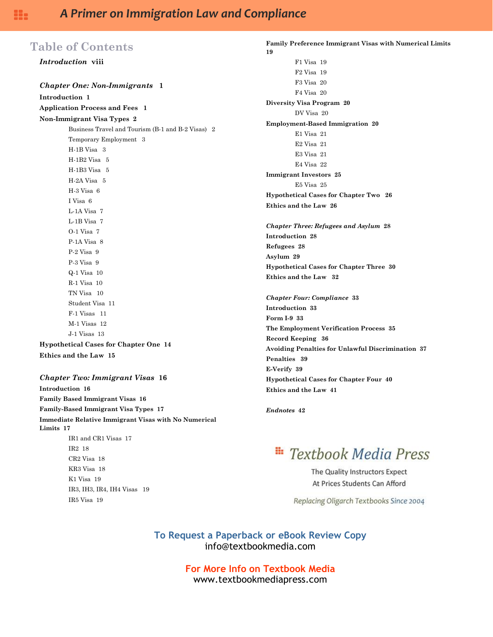# **Table of Contents**

*Introduction* **viii**

*Chapter One: Non-Immigrants* **1 Introduction 1 Application Process and Fees 1 Non-Immigrant Visa Types 2** Business Travel and Tourism (B-1 and B-2 Visas) 2 Temporary Employment 3 H-1B Visa 3 H-1B2 Visa 5 H-1B3 Visa 5 H-2A Visa 5 H-3 Visa 6 I Visa 6 L-1A Visa 7 L-1B Visa 7 O-1 Visa 7 P-1A Visa 8 P-2 Visa 9 P-3 Visa 9 Q-1 Visa 10 R-1 Visa 10 TN Visa 10 Student Visa 11 F-1 Visas 11 M-1 Visas 12 J-1 Visas 13

**Hypothetical Cases for Chapter One 14 Ethics and the Law 15**

*Chapter Two: Immigrant Visas* **16**

**Introduction 16 Family Based Immigrant Visas 16 Family-Based Immigrant Visa Types 17 Immediate Relative Immigrant Visas with No Numerical Limits 17** IR1 and CR1 Visas 17 IR2 18 CR2 Visa 18 KR3 Visa 18 K1 Visa 19 IR3, IH3, IR4, IH4 Visas 19 IR5 Visa 19

#### **Family Preference Immigrant Visas with Numerical Limits 19**

F1 Visa 19 F2 Visa 19 F3 Visa 20 F4 Visa 20 **Diversity Visa Program 20** DV Visa 20 **Employment-Based Immigration 20** E1 Visa 21 E2 Visa 21 E3 Visa 21 E4 Visa 22 **Immigrant Investors 25** E5 Visa 25 **Hypothetical Cases for Chapter Two 26 Ethics and the Law 26** *Chapter Three: Refugees and Asylum* **28 Introduction 28 Refugees 28 Asylum 29 Hypothetical Cases for Chapter Three 30 Ethics and the Law 32** *Chapter Four: Compliance* **33 Introduction 33 Form I-9 33 The Employment Verification Process 35 Record Keeping 36**

**Avoiding Penalties for Unlawful Discrimination 37 Penalties 39 E-Verify 39 Hypothetical Cases for Chapter Four 40 Ethics and the Law 41**

*Endnotes* **42**

"Textbook Media Press

The Quality Instructors Expect At Prices Students Can Afford

Replacing Oligarch Textbooks Since 2004

**To Request a Paperback or eBook Review Copy** info@textbookmedia.com

> **For More Info on Textbook Media** www.textbookmediapress.com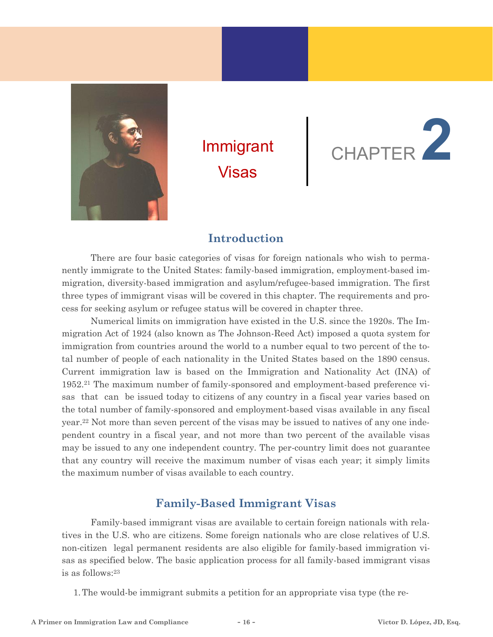

# Visas



# **Introduction**

There are four basic categories of visas for foreign nationals who wish to permanently immigrate to the United States: family-based immigration, employment-based immigration, diversity-based immigration and asylum/refugee-based immigration. The first three types of immigrant visas will be covered in this chapter. The requirements and process for seeking asylum or refugee status will be covered in chapter three.

Numerical limits on immigration have existed in the U.S. since the 1920s. The Immigration Act of 1924 (also known as The Johnson-Reed Act) imposed a quota system for immigration from countries around the world to a number equal to two percent of the total number of people of each nationality in the United States based on the 1890 census. Current immigration law is based on the Immigration and Nationality Act (INA) of 1952.<sup>21</sup> The maximum number of family-sponsored and employment-based preference visas that can be issued today to citizens of any country in a fiscal year varies based on the total number of family-sponsored and employment-based visas available in any fiscal year.<sup>22</sup> Not more than seven percent of the visas may be issued to natives of any one independent country in a fiscal year, and not more than two percent of the available visas may be issued to any one independent country. The per-country limit does not guarantee that any country will receive the maximum number of visas each year; it simply limits the maximum number of visas available to each country.

# **Family-Based Immigrant Visas**

Family-based immigrant visas are available to certain foreign nationals with relatives in the U.S. who are citizens. Some foreign nationals who are close relatives of U.S. non-citizen legal permanent residents are also eligible for family-based immigration visas as specified below. The basic application process for all family-based immigrant visas is as follows:<sup>23</sup>

1.The would-be immigrant submits a petition for an appropriate visa type (the re-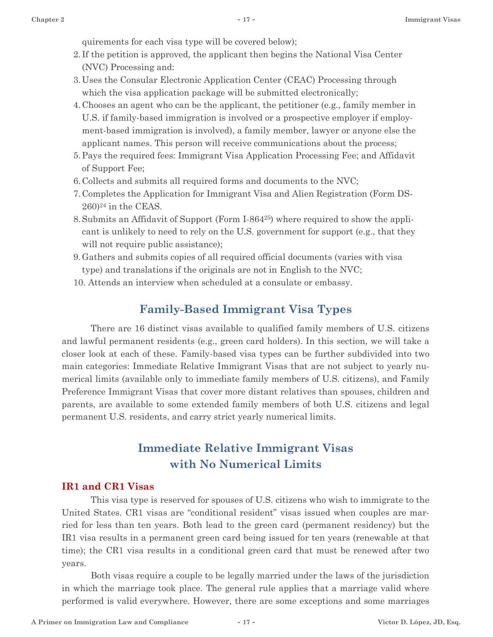quirements for each visa type will be covered below);

- 2. If the petition is approved, the applicant then begins the National Visa Center (NVC) Processing and:
- 3. Uses the Consular Electronic Application Center (CEAC) Processing through which the visa application package will be submitted electronically;
- 4. Chooses an agent who can be the applicant, the petitioner (e.g., family member in U.S. if family-based immigration is involved or a prospective employer if employment-based immigration is involved), a family member, lawyer or anyone else the applicant names. This person will receive communications about the process;
- 5.Pays the required fees: Immigrant Visa Application Processing Fee; and Affidavit of Support Fee;
- 6. Collects and submits all required forms and documents to the NVC;
- 7. Completes the Application for Immigrant Visa and Alien Registration (Form DS- $260)$ <sup>24</sup> in the CEAS.
- 8.Submits an Affidavit of Support (Form I-86425) where required to show the applicant is unlikely to need to rely on the U.S. government for support (e.g., that they will not require public assistance);
- 9.Gathers and submits copies of all required official documents (varies with visa type) and translations if the originals are not in English to the NVC;
- 10. Attends an interview when scheduled at a consulate or embassy.

# **Family-Based Immigrant Visa Types**

There are 16 distinct visas available to qualified family members of U.S. citizens and lawful permanent residents (e.g., green card holders). In this section, we will take a closer look at each of these. Family-based visa types can be further subdivided into two main categories: Immediate Relative Immigrant Visas that are not subject to yearly numerical limits (available only to immediate family members of U.S. citizens), and Family Preference Immigrant Visas that cover more distant relatives than spouses, children and parents, are available to some extended family members of both U.S. citizens and legal permanent U.S. residents, and carry strict yearly numerical limits.

# **Immediate Relative Immigrant Visas with No Numerical Limits**

#### **IR1 and CR1 Visas**

This visa type is reserved for spouses of U.S. citizens who wish to immigrate to the United States. CR1 visas are "conditional resident" visas issued when couples are married for less than ten years. Both lead to the green card (permanent residency) but the IR1 visa results in a permanent green card being issued for ten years (renewable at that time); the CR1 visa results in a conditional green card that must be renewed after two years.

performed is valid everywhere. However, there are some exceptions and some marriages Both visas require a couple to be legally married under the laws of the jurisdiction in which the marriage took place. The general rule applies that a marriage valid where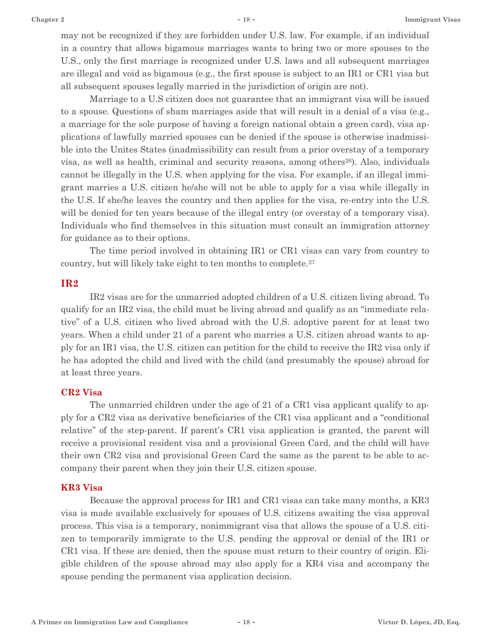may not be recognized if they are forbidden under U.S. law. For example, if an individual in a country that allows bigamous marriages wants to bring two or more spouses to the U.S., only the first marriage is recognized under U.S. laws and all subsequent marriages are illegal and void as bigamous (e.g., the first spouse is subject to an IR1 or CR1 visa but all subsequent spouses legally married in the jurisdiction of origin are not).

Marriage to a U.S citizen does not guarantee that an immigrant visa will be issued to a spouse. Questions of sham marriages aside that will result in a denial of a visa (e.g., a marriage for the sole purpose of having a foreign national obtain a green card), visa applications of lawfully married spouses can be denied if the spouse is otherwise inadmissible into the Unites States (inadmissibility can result from a prior overstay of a temporary visa, as well as health, criminal and security reasons, among others26). Also, individuals cannot be illegally in the U.S. when applying for the visa. For example, if an illegal immigrant marries a U.S. citizen he/she will not be able to apply for a visa while illegally in the U.S. If she/he leaves the country and then applies for the visa, re-entry into the U.S. will be denied for ten years because of the illegal entry (or overstay of a temporary visa). Individuals who find themselves in this situation must consult an immigration attorney for guidance as to their options.

The time period involved in obtaining IR1 or CR1 visas can vary from country to country, but will likely take eight to ten months to complete.<sup>27</sup>

#### **IR2**

IR2 visas are for the unmarried adopted children of a U.S. citizen living abroad. To qualify for an IR2 visa, the child must be living abroad and qualify as an "immediate relative" of a U.S. citizen who lived abroad with the U.S. adoptive parent for at least two years. When a child under 21 of a parent who marries a U.S. citizen abroad wants to apply for an IR1 visa, the U.S. citizen can petition for the child to receive the IR2 visa only if he has adopted the child and lived with the child (and presumably the spouse) abroad for at least three years.

#### **CR2 Visa**

The unmarried children under the age of 21 of a CR1 visa applicant qualify to apply for a CR2 visa as derivative beneficiaries of the CR1 visa applicant and a "conditional relative" of the step-parent. If parent's CR1 visa application is granted, the parent will receive a provisional resident visa and a provisional Green Card, and the child will have their own CR2 visa and provisional Green Card the same as the parent to be able to accompany their parent when they join their U.S. citizen spouse.

#### **KR3 Visa**

Because the approval process for IR1 and CR1 visas can take many months, a KR3 visa is made available exclusively for spouses of U.S. citizens awaiting the visa approval process. This visa is a temporary, nonimmigrant visa that allows the spouse of a U.S. citizen to temporarily immigrate to the U.S. pending the approval or denial of the IR1 or CR1 visa. If these are denied, then the spouse must return to their country of origin. Eligible children of the spouse abroad may also apply for a KR4 visa and accompany the spouse pending the permanent visa application decision.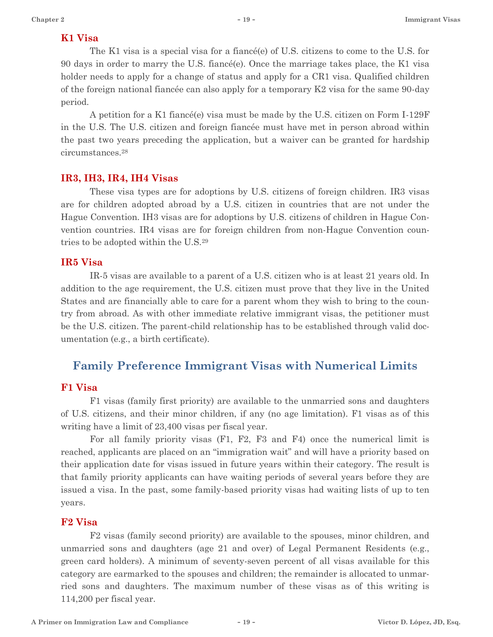## **K1 Visa**

The K1 visa is a special visa for a fiancé(e) of U.S. citizens to come to the U.S. for 90 days in order to marry the U.S. fiancé(e). Once the marriage takes place, the K1 visa holder needs to apply for a change of status and apply for a CR1 visa. Qualified children of the foreign national fiancée can also apply for a temporary K2 visa for the same 90-day period.

A petition for a K1 fiancé(e) visa must be made by the U.S. citizen on Form I-129F in the U.S. The U.S. citizen and foreign fiancée must have met in person abroad within the past two years preceding the application, but a waiver can be granted for hardship circumstances.<sup>28</sup>

#### **IR3, IH3, IR4, IH4 Visas**

These visa types are for adoptions by U.S. citizens of foreign children. IR3 visas are for children adopted abroad by a U.S. citizen in countries that are not under the Hague Convention. IH3 visas are for adoptions by U.S. citizens of children in Hague Convention countries. IR4 visas are for foreign children from non-Hague Convention countries to be adopted within the U.S.<sup>29</sup>

## **IR5 Visa**

IR-5 visas are available to a parent of a U.S. citizen who is at least 21 years old. In addition to the age requirement, the U.S. citizen must prove that they live in the United States and are financially able to care for a parent whom they wish to bring to the country from abroad. As with other immediate relative immigrant visas, the petitioner must be the U.S. citizen. The parent-child relationship has to be established through valid documentation (e.g., a birth certificate).

## **Family Preference Immigrant Visas with Numerical Limits**

## **F1 Visa**

F1 visas (family first priority) are available to the unmarried sons and daughters of U.S. citizens, and their minor children, if any (no age limitation). F1 visas as of this writing have a limit of 23,400 visas per fiscal year.

For all family priority visas (F1, F2, F3 and F4) once the numerical limit is reached, applicants are placed on an "immigration wait" and will have a priority based on their application date for visas issued in future years within their category. The result is that family priority applicants can have waiting periods of several years before they are issued a visa. In the past, some family-based priority visas had waiting lists of up to ten years.

#### **F2 Visa**

F2 visas (family second priority) are available to the spouses, minor children, and unmarried sons and daughters (age 21 and over) of Legal Permanent Residents (e.g., green card holders). A minimum of seventy-seven percent of all visas available for this category are earmarked to the spouses and children; the remainder is allocated to unmarried sons and daughters. The maximum number of these visas as of this writing is 114,200 per fiscal year.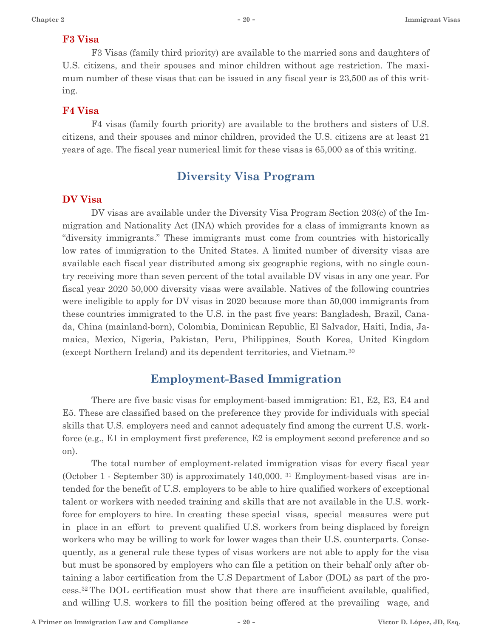# **F3 Visa**

F3 Visas (family third priority) are available to the married sons and daughters of U.S. citizens, and their spouses and minor children without age restriction. The maximum number of these visas that can be issued in any fiscal year is 23,500 as of this writing.

#### **F4 Visa**

F4 visas (family fourth priority) are available to the brothers and sisters of U.S. citizens, and their spouses and minor children, provided the U.S. citizens are at least 21 years of age. The fiscal year numerical limit for these visas is 65,000 as of this writing.

# **Diversity Visa Program**

### **DV Visa**

DV visas are available under the Diversity Visa Program Section 203(c) of the Immigration and Nationality Act (INA) which provides for a class of immigrants known as "diversity immigrants." These immigrants must come from countries with historically low rates of immigration to the United States. A limited number of diversity visas are available each fiscal year distributed among six geographic regions, with no single country receiving more than seven percent of the total available DV visas in any one year. For fiscal year 2020 50,000 diversity visas were available. Natives of the following countries were ineligible to apply for DV visas in 2020 because more than 50,000 immigrants from these countries immigrated to the U.S. in the past five years: Bangladesh, Brazil, Canada, China (mainland-born), Colombia, Dominican Republic, El Salvador, Haiti, India, Jamaica, Mexico, Nigeria, Pakistan, Peru, Philippines, South Korea, United Kingdom (except Northern Ireland) and its dependent territories, and Vietnam.<sup>30</sup>

## **Employment-Based Immigration**

There are five basic visas for employment-based immigration: E1, E2, E3, E4 and E5. These are classified based on the preference they provide for individuals with special skills that U.S. employers need and cannot adequately find among the current U.S. workforce (e.g., E1 in employment first preference, E2 is employment second preference and so on).

The total number of employment-related immigration visas for every fiscal year (October 1 - September 30) is approximately 140,000. <sup>31</sup> Employment-based visas are intended for the benefit of U.S. employers to be able to hire qualified workers of exceptional talent or workers with needed training and skills that are not available in the U.S. workforce for employers to hire. In creating these special visas, special measures were put in place in an effort to prevent qualified U.S. workers from being displaced by foreign workers who may be willing to work for lower wages than their U.S. counterparts. Consequently, as a general rule these types of visas workers are not able to apply for the visa but must be sponsored by employers who can file a petition on their behalf only after obtaining a labor certification from the U.S Department of Labor (DOL) as part of the process.32 The DOL certification must show that there are insufficient available, qualified, and willing U.S. workers to fill the position being offered at the prevailing wage, and

**A Primer on Immigration Law and Compliance - 20 - Victor D. López, JD, Esq.**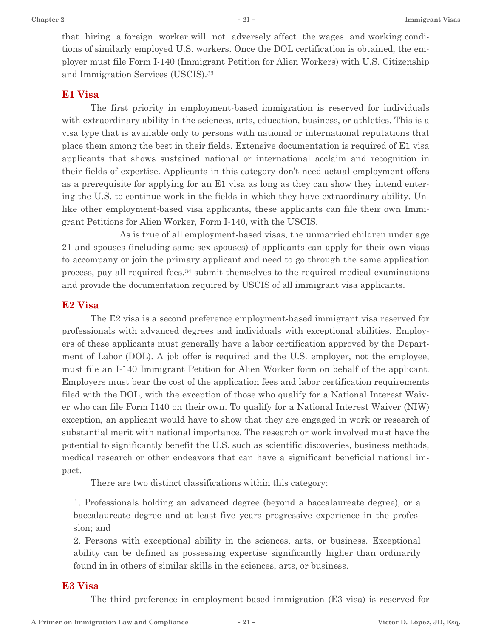that hiring a foreign worker will not adversely affect the wages and working conditions of similarly employed U.S. workers. Once the DOL certification is obtained, the employer must file Form I-140 (Immigrant Petition for Alien Workers) with U.S. Citizenship and Immigration Services (USCIS).<sup>33</sup>

## **E1 Visa**

The first priority in employment-based immigration is reserved for individuals with extraordinary ability in the sciences, arts, education, business, or athletics. This is a visa type that is available only to persons with national or international reputations that place them among the best in their fields. Extensive documentation is required of E1 visa applicants that shows sustained national or international acclaim and recognition in their fields of expertise. Applicants in this category don't need actual employment offers as a prerequisite for applying for an E1 visa as long as they can show they intend entering the U.S. to continue work in the fields in which they have extraordinary ability. Unlike other employment-based visa applicants, these applicants can file their own Immigrant Petitions for Alien Worker, Form I-140, with the USCIS.

As is true of all employment-based visas, the unmarried children under age 21 and spouses (including same-sex spouses) of applicants can apply for their own visas to accompany or join the primary applicant and need to go through the same application process, pay all required fees,<sup>34</sup> submit themselves to the required medical examinations and provide the documentation required by USCIS of all immigrant visa applicants.

### **E2 Visa**

The E2 visa is a second preference employment-based immigrant visa reserved for professionals with advanced degrees and individuals with exceptional abilities. Employers of these applicants must generally have a labor certification approved by the Department of Labor (DOL). A job offer is required and the U.S. employer, not the employee, must file an I-140 Immigrant Petition for Alien Worker form on behalf of the applicant. Employers must bear the cost of the application fees and labor certification requirements filed with the DOL, with the exception of those who qualify for a National Interest Waiver who can file Form I140 on their own. To qualify for a National Interest Waiver (NIW) exception, an applicant would have to show that they are engaged in work or research of substantial merit with national importance. The research or work involved must have the potential to significantly benefit the U.S. such as scientific discoveries, business methods, medical research or other endeavors that can have a significant beneficial national impact.

There are two distinct classifications within this category:

1. Professionals holding an advanced degree (beyond a baccalaureate degree), or a baccalaureate degree and at least five years progressive experience in the profession; and

2. Persons with exceptional ability in the sciences, arts, or business. Exceptional ability can be defined as possessing expertise significantly higher than ordinarily found in in others of similar skills in the sciences, arts, or business.

### **E3 Visa**

The third preference in employment-based immigration (E3 visa) is reserved for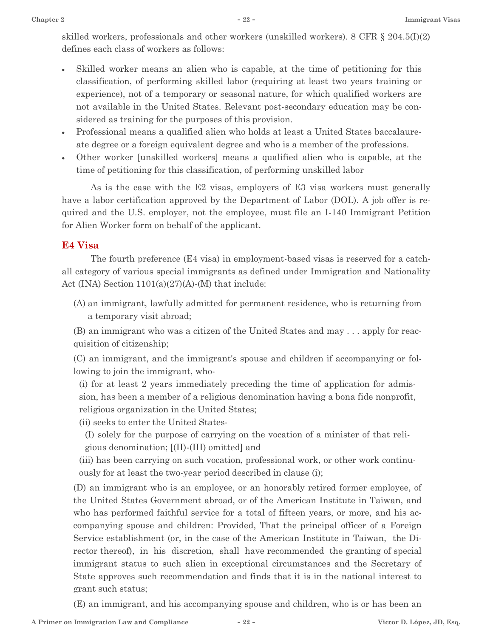skilled workers, professionals and other workers (unskilled workers). 8 CFR § 204.5(I)(2) defines each class of workers as follows:

- Skilled worker means an alien who is capable, at the time of petitioning for this classification, of performing skilled labor (requiring at least two years training or experience), not of a temporary or seasonal nature, for which qualified workers are not available in the United States. Relevant post-secondary education may be considered as training for the purposes of this provision.
- Professional means a qualified alien who holds at least a United States baccalaureate degree or a foreign equivalent degree and who is a member of the professions.
- Other worker [unskilled workers] means a qualified alien who is capable, at the time of petitioning for this classification, of performing unskilled labor

As is the case with the E2 visas, employers of E3 visa workers must generally have a labor certification approved by the Department of Labor (DOL). A job offer is required and the U.S. employer, not the employee, must file an I-140 Immigrant Petition for Alien Worker form on behalf of the applicant.

## **E4 Visa**

The fourth preference (E4 visa) in employment-based visas is reserved for a catchall category of various special immigrants as defined under Immigration and Nationality Act (INA) Section 1101(a)(27)(A)-(M) that include:

(A) an immigrant, lawfully admitted for permanent residence, who is returning from a temporary visit abroad;

(B) an immigrant who was a citizen of the United States and may . . . apply for reacquisition of citizenship;

(C) an immigrant, and the immigrant's spouse and children if accompanying or following to join the immigrant, who-

(i) for at least 2 years immediately preceding the time of application for admission, has been a member of a religious denomination having a bona fide nonprofit, religious organization in the United States;

(ii) seeks to enter the United States-

(I) solely for the purpose of carrying on the vocation of a minister of that religious denomination; [(II)-(III) omitted] and

(iii) has been carrying on such vocation, professional work, or other work continuously for at least the two-year period described in clause (i);

(D) an immigrant who is an employee, or an honorably retired former employee, of the United States Government abroad, or of the American Institute in Taiwan, and who has performed faithful service for a total of fifteen years, or more, and his accompanying spouse and children: Provided, That the principal officer of a Foreign Service establishment (or, in the case of the American Institute in Taiwan, the Director thereof), in his discretion, shall have recommended the granting of special immigrant status to such alien in exceptional circumstances and the Secretary of State approves such recommendation and finds that it is in the national interest to grant such status;

(E) an immigrant, and his accompanying spouse and children, who is or has been an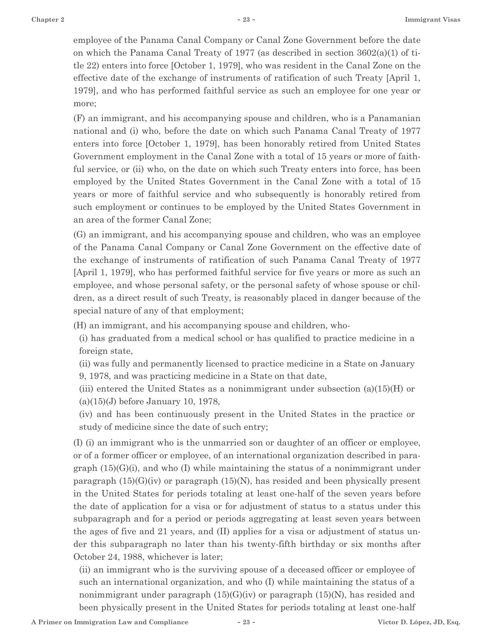employee of the Panama Canal Company or Canal Zone Government before the date on which the Panama Canal Treaty of 1977 (as described in section  $3602(a)(1)$  of title 22) enters into force [October 1, 1979], who was resident in the Canal Zone on the effective date of the exchange of instruments of ratification of such Treaty [April 1, 1979], and who has performed faithful service as such an employee for one year or more;

(F) an immigrant, and his accompanying spouse and children, who is a Panamanian national and (i) who, before the date on which such Panama Canal Treaty of 1977 enters into force [October 1, 1979], has been honorably retired from United States Government employment in the Canal Zone with a total of 15 years or more of faithful service, or (ii) who, on the date on which such Treaty enters into force, has been employed by the United States Government in the Canal Zone with a total of 15 years or more of faithful service and who subsequently is honorably retired from such employment or continues to be employed by the United States Government in an area of the former Canal Zone;

(G) an immigrant, and his accompanying spouse and children, who was an employee of the Panama Canal Company or Canal Zone Government on the effective date of the exchange of instruments of ratification of such Panama Canal Treaty of 1977 [April 1, 1979], who has performed faithful service for five years or more as such an employee, and whose personal safety, or the personal safety of whose spouse or children, as a direct result of such Treaty, is reasonably placed in danger because of the special nature of any of that employment;

(H) an immigrant, and his accompanying spouse and children, who-

(i) has graduated from a medical school or has qualified to practice medicine in a foreign state,

(ii) was fully and permanently licensed to practice medicine in a State on January 9, 1978, and was practicing medicine in a State on that date,

(iii) entered the United States as a nonimmigrant under subsection (a)(15)(H) or (a)(15)(J) before January 10, 1978,

(iv) and has been continuously present in the United States in the practice or study of medicine since the date of such entry;

(I) (i) an immigrant who is the unmarried son or daughter of an officer or employee, or of a former officer or employee, of an international organization described in paragraph  $(15)(G)(i)$ , and who (I) while maintaining the status of a nonimmigrant under paragraph  $(15)(G)(iv)$  or paragraph  $(15)(N)$ , has resided and been physically present in the United States for periods totaling at least one-half of the seven years before the date of application for a visa or for adjustment of status to a status under this subparagraph and for a period or periods aggregating at least seven years between the ages of five and 21 years, and (II) applies for a visa or adjustment of status under this subparagraph no later than his twenty-fifth birthday or six months after October 24, 1988, whichever is later;

(ii) an immigrant who is the surviving spouse of a deceased officer or employee of such an international organization, and who (I) while maintaining the status of a nonimmigrant under paragraph  $(15)(G)(iv)$  or paragraph  $(15)(N)$ , has resided and been physically present in the United States for periods totaling at least one-half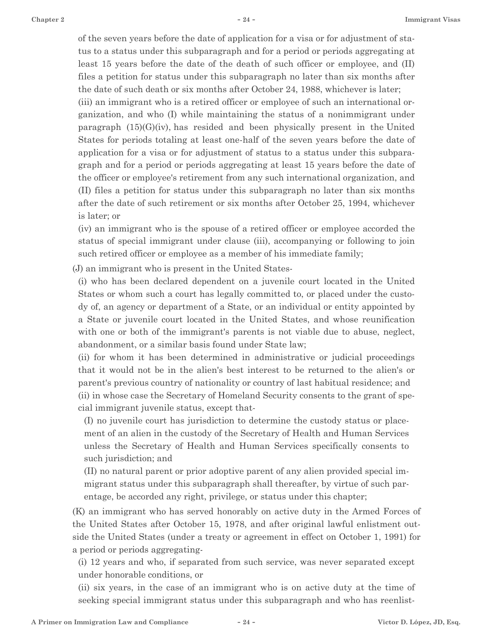of the seven years before the date of application for a visa or for adjustment of status to a status under this subparagraph and for a period or periods aggregating at least 15 years before the date of the death of such officer or employee, and (II) files a petition for status under this subparagraph no later than six months after the date of such death or six months after October 24, 1988, whichever is later; (iii) an immigrant who is a retired officer or employee of such an international organization, and who (I) while maintaining the status of a nonimmigrant under paragraph  $(15)(G)(iv)$ , has resided and been physically present in the United States for periods totaling at least one-half of the seven years before the date of application for a visa or for adjustment of status to a status under this subparagraph and for a period or periods aggregating at least 15 years before the date of the officer or employee's retirement from any such international organization, and (II) files a petition for status under this subparagraph no later than six months after the date of such retirement or six months after October 25, 1994, whichever is later; or

(iv) an immigrant who is the spouse of a retired officer or employee accorded the status of special immigrant under clause (iii), accompanying or following to join such retired officer or employee as a member of his immediate family;

(J) an immigrant who is present in the United States-

(i) who has been declared dependent on a juvenile court located in the United States or whom such a court has legally committed to, or placed under the custody of, an agency or department of a State, or an individual or entity appointed by a State or juvenile court located in the United States, and whose reunification with one or both of the immigrant's parents is not viable due to abuse, neglect, abandonment, or a similar basis found under State law;

(ii) for whom it has been determined in administrative or judicial proceedings that it would not be in the alien's best interest to be returned to the alien's or parent's previous country of nationality or country of last habitual residence; and (ii) in whose case the Secretary of Homeland Security consents to the grant of special immigrant juvenile status, except that-

(I) no juvenile court has jurisdiction to determine the custody status or placement of an alien in the custody of the Secretary of Health and Human Services unless the Secretary of Health and Human Services specifically consents to such jurisdiction; and

(II) no natural parent or prior adoptive parent of any alien provided special immigrant status under this subparagraph shall thereafter, by virtue of such parentage, be accorded any right, privilege, or status under this chapter;

(K) an immigrant who has served honorably on active duty in the Armed Forces of the United States after October 15, 1978, and after original lawful enlistment outside the United States (under a treaty or agreement in effect on October 1, 1991) for a period or periods aggregating-

(i) 12 years and who, if separated from such service, was never separated except under honorable conditions, or

(ii) six years, in the case of an immigrant who is on active duty at the time of seeking special immigrant status under this subparagraph and who has reenlist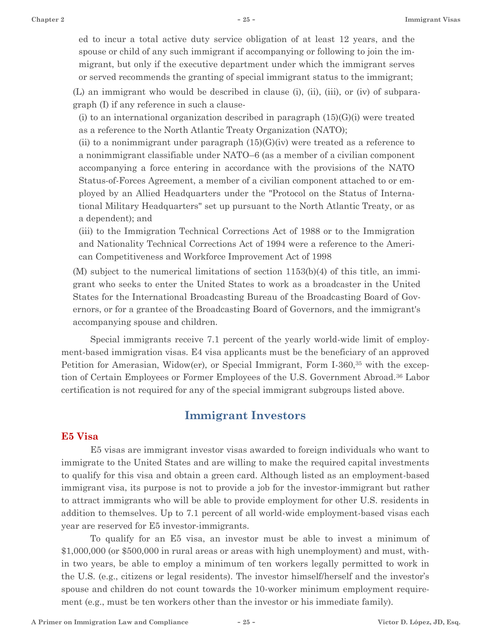ed to incur a total active duty service obligation of at least 12 years, and the spouse or child of any such immigrant if accompanying or following to join the immigrant, but only if the executive department under which the immigrant serves or served recommends the granting of special immigrant status to the immigrant;

(L) an immigrant who would be described in clause (i), (ii), (iii), or (iv) of subparagraph (I) if any reference in such a clause-

(i) to an international organization described in paragraph  $(15)(G)(i)$  were treated as a reference to the North Atlantic Treaty Organization (NATO);

(ii) to a nonimmigrant under paragraph  $(15)(G)(iv)$  were treated as a reference to a nonimmigrant classifiable under NATO–6 (as a member of a civilian component accompanying a force entering in accordance with the provisions of the NATO Status-of-Forces Agreement, a member of a civilian component attached to or employed by an Allied Headquarters under the "Protocol on the Status of International Military Headquarters" set up pursuant to the North Atlantic Treaty, or as a dependent); and

(iii) to the Immigration Technical Corrections Act of 1988 or to the Immigration and Nationality Technical Corrections Act of 1994 were a reference to the American Competitiveness and Workforce Improvement Act of 1998

(M) subject to the numerical limitations of section 1153(b)(4) of this title, an immigrant who seeks to enter the United States to work as a broadcaster in the United States for the International Broadcasting Bureau of the Broadcasting Board of Governors, or for a grantee of the Broadcasting Board of Governors, and the immigrant's accompanying spouse and children.

Special immigrants receive 7.1 percent of the yearly world-wide limit of employment-based immigration visas. E4 visa applicants must be the beneficiary of an approved Petition for Amerasian, Widow(er), or Special Immigrant, Form I-360,<sup>35</sup> with the exception of Certain Employees or Former Employees of the U.S. Government Abroad.<sup>36</sup> Labor certification is not required for any of the special immigrant subgroups listed above.

## **Immigrant Investors**

#### **E5 Visa**

E5 visas are immigrant investor visas awarded to foreign individuals who want to immigrate to the United States and are willing to make the required capital investments to qualify for this visa and obtain a green card. Although listed as an employment-based immigrant visa, its purpose is not to provide a job for the investor-immigrant but rather to attract immigrants who will be able to provide employment for other U.S. residents in addition to themselves. Up to 7.1 percent of all world-wide employment-based visas each year are reserved for E5 investor-immigrants.

To qualify for an E5 visa, an investor must be able to invest a minimum of \$1,000,000 (or \$500,000 in rural areas or areas with high unemployment) and must, within two years, be able to employ a minimum of ten workers legally permitted to work in the U.S. (e.g., citizens or legal residents). The investor himself/herself and the investor's spouse and children do not count towards the 10-worker minimum employment requirement (e.g., must be ten workers other than the investor or his immediate family).

**A Primer on Immigration Law and Compliance - 25 - Victor D. López, JD, Esq.**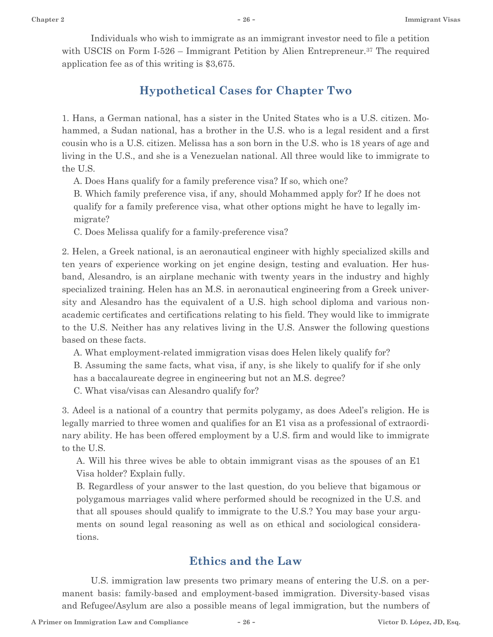Individuals who wish to immigrate as an immigrant investor need to file a petition with USCIS on Form I-526 – Immigrant Petition by Alien Entrepreneur.<sup>37</sup> The required application fee as of this writing is \$3,675.

# **Hypothetical Cases for Chapter Two**

1. Hans, a German national, has a sister in the United States who is a U.S. citizen. Mohammed, a Sudan national, has a brother in the U.S. who is a legal resident and a first cousin who is a U.S. citizen. Melissa has a son born in the U.S. who is 18 years of age and living in the U.S., and she is a Venezuelan national. All three would like to immigrate to the U.S.

A. Does Hans qualify for a family preference visa? If so, which one?

B. Which family preference visa, if any, should Mohammed apply for? If he does not qualify for a family preference visa, what other options might he have to legally immigrate?

C. Does Melissa qualify for a family-preference visa?

2. Helen, a Greek national, is an aeronautical engineer with highly specialized skills and ten years of experience working on jet engine design, testing and evaluation. Her husband, Alesandro, is an airplane mechanic with twenty years in the industry and highly specialized training. Helen has an M.S. in aeronautical engineering from a Greek university and Alesandro has the equivalent of a U.S. high school diploma and various nonacademic certificates and certifications relating to his field. They would like to immigrate to the U.S. Neither has any relatives living in the U.S. Answer the following questions based on these facts.

A. What employment-related immigration visas does Helen likely qualify for?

B. Assuming the same facts, what visa, if any, is she likely to qualify for if she only has a baccalaureate degree in engineering but not an M.S. degree?

C. What visa/visas can Alesandro qualify for?

3. Adeel is a national of a country that permits polygamy, as does Adeel's religion. He is legally married to three women and qualifies for an E1 visa as a professional of extraordinary ability. He has been offered employment by a U.S. firm and would like to immigrate to the U.S.

A. Will his three wives be able to obtain immigrant visas as the spouses of an E1 Visa holder? Explain fully.

B. Regardless of your answer to the last question, do you believe that bigamous or polygamous marriages valid where performed should be recognized in the U.S. and that all spouses should qualify to immigrate to the U.S.? You may base your arguments on sound legal reasoning as well as on ethical and sociological considerations.

# **Ethics and the Law**

U.S. immigration law presents two primary means of entering the U.S. on a permanent basis: family-based and employment-based immigration. Diversity-based visas and Refugee/Asylum are also a possible means of legal immigration, but the numbers of